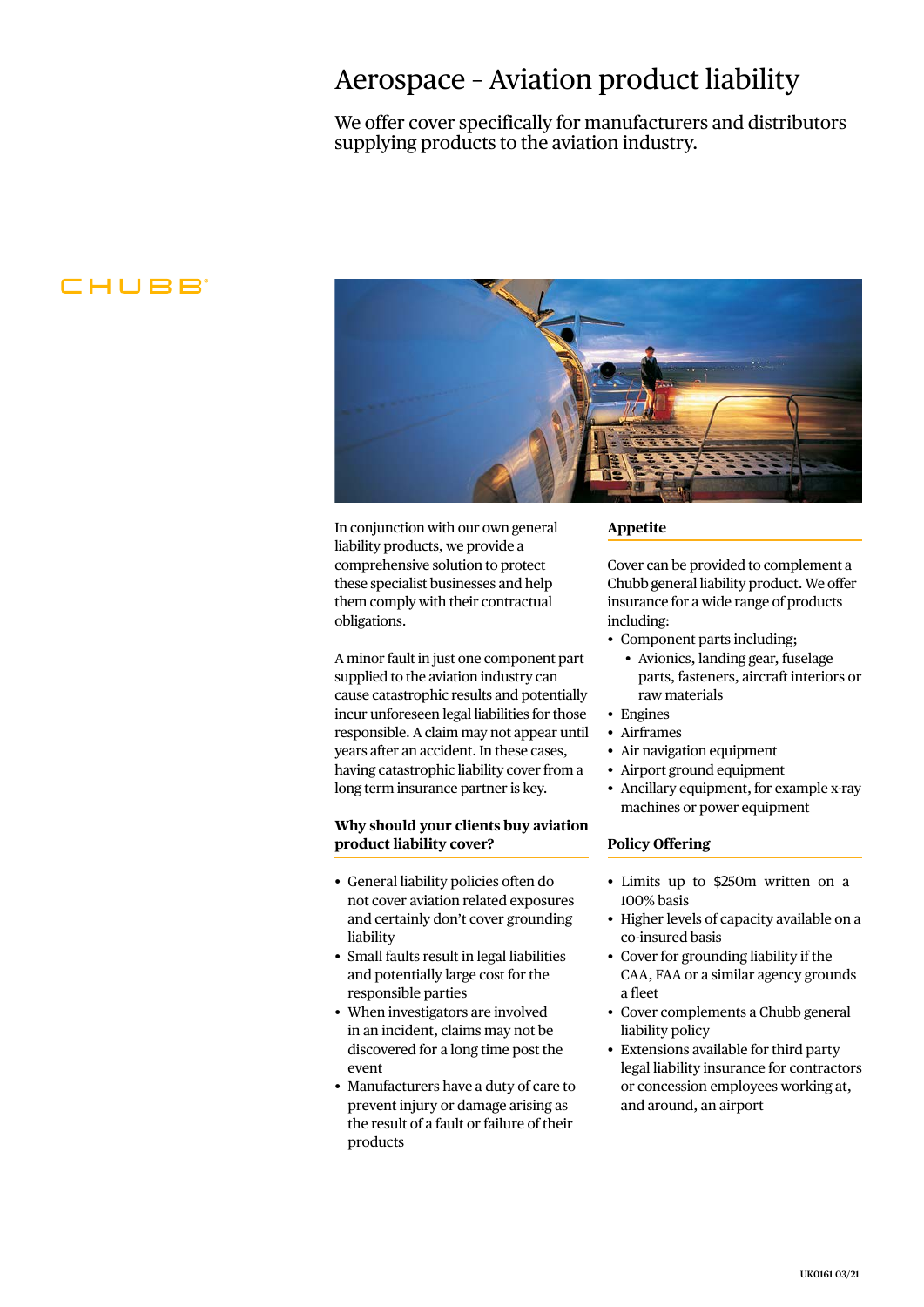## Aerospace – Aviation product liability

We offer cover specifically for manufacturers and distributors supplying products to the aviation industry.

### CHUBB<sup>®</sup>



In conjunction with our own general liability products, we provide a comprehensive solution to protect these specialist businesses and help them comply with their contractual obligations.

A minor fault in just one component part supplied to the aviation industry can cause catastrophic results and potentially incur unforeseen legal liabilities for those responsible. A claim may not appear until years after an accident. In these cases, having catastrophic liability cover from a long term insurance partner is key.

#### **Why should your clients buy aviation product liability cover?**

- General liability policies often do not cover aviation related exposures and certainly don't cover grounding liability
- Small faults result in legal liabilities and potentially large cost for the responsible parties
- When investigators are involved in an incident, claims may not be discovered for a long time post the event
- Manufacturers have a duty of care to prevent injury or damage arising as the result of a fault or failure of their products

#### **Appetite**

Cover can be provided to complement a Chubb general liability product. We offer insurance for a wide range of products including:

- Component parts including;
	- Avionics, landing gear, fuselage parts, fasteners, aircraft interiors or raw materials
- Engines
- Airframes
- Air navigation equipment
- Airport ground equipment
- Ancillary equipment, for example x-ray machines or power equipment

#### **Policy Offering**

- Limits up to \$250m written on a 100% basis
- Higher levels of capacity available on a co-insured basis
- Cover for grounding liability if the CAA, FAA or a similar agency grounds a fleet
- Cover complements a Chubb general liability policy
- Extensions available for third party legal liability insurance for contractors or concession employees working at, and around, an airport